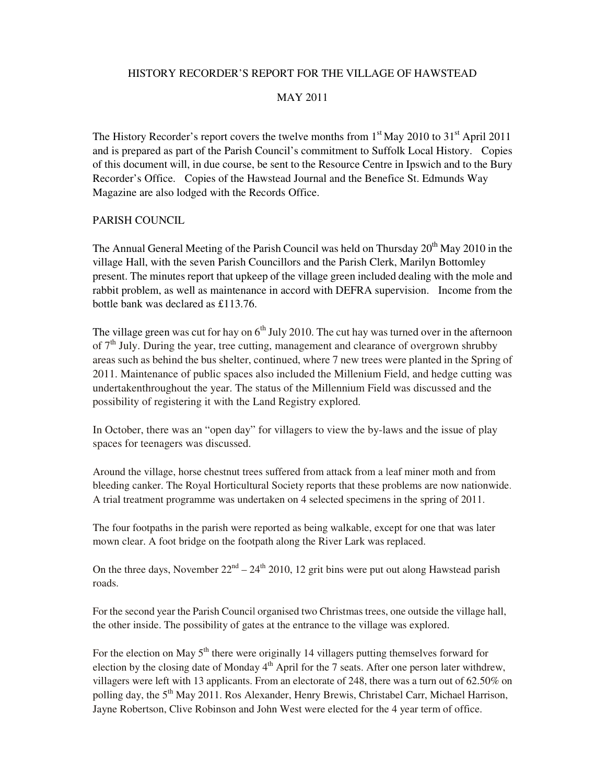# HISTORY RECORDER'S REPORT FOR THE VILLAGE OF HAWSTEAD

#### MAY 2011

The History Recorder's report covers the twelve months from  $1<sup>st</sup>$  May 2010 to  $31<sup>st</sup>$  April 2011 and is prepared as part of the Parish Council's commitment to Suffolk Local History. Copies of this document will, in due course, be sent to the Resource Centre in Ipswich and to the Bury Recorder's Office. Copies of the Hawstead Journal and the Benefice St. Edmunds Way Magazine are also lodged with the Records Office.

# PARISH COUNCIL

The Annual General Meeting of the Parish Council was held on Thursday 20<sup>th</sup> May 2010 in the village Hall, with the seven Parish Councillors and the Parish Clerk, Marilyn Bottomley present. The minutes report that upkeep of the village green included dealing with the mole and rabbit problem, as well as maintenance in accord with DEFRA supervision. Income from the bottle bank was declared as £113.76.

The village green was cut for hay on  $6<sup>th</sup>$  July 2010. The cut hay was turned over in the afternoon of  $7<sup>th</sup>$  July. During the year, tree cutting, management and clearance of overgrown shrubby areas such as behind the bus shelter, continued, where 7 new trees were planted in the Spring of 2011. Maintenance of public spaces also included the Millenium Field, and hedge cutting was undertakenthroughout the year. The status of the Millennium Field was discussed and the possibility of registering it with the Land Registry explored.

In October, there was an "open day" for villagers to view the by-laws and the issue of play spaces for teenagers was discussed.

Around the village, horse chestnut trees suffered from attack from a leaf miner moth and from bleeding canker. The Royal Horticultural Society reports that these problems are now nationwide. A trial treatment programme was undertaken on 4 selected specimens in the spring of 2011.

The four footpaths in the parish were reported as being walkable, except for one that was later mown clear. A foot bridge on the footpath along the River Lark was replaced.

On the three days, November  $22<sup>nd</sup> - 24<sup>th</sup> 2010$ , 12 grit bins were put out along Hawstead parish roads.

For the second year the Parish Council organised two Christmas trees, one outside the village hall, the other inside. The possibility of gates at the entrance to the village was explored.

For the election on May  $5<sup>th</sup>$  there were originally 14 villagers putting themselves forward for election by the closing date of Monday  $4<sup>th</sup>$  April for the 7 seats. After one person later withdrew, villagers were left with 13 applicants. From an electorate of 248, there was a turn out of 62.50% on polling day, the 5<sup>th</sup> May 2011. Ros Alexander, Henry Brewis, Christabel Carr, Michael Harrison, Jayne Robertson, Clive Robinson and John West were elected for the 4 year term of office.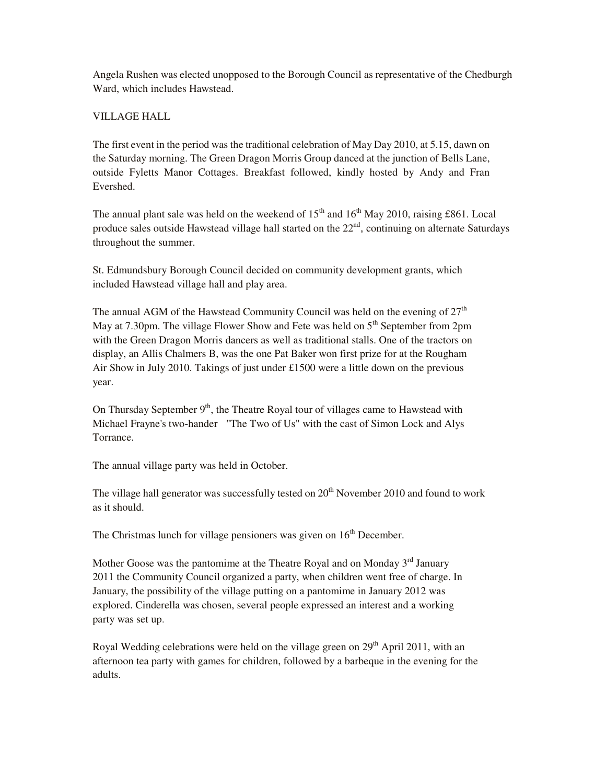Angela Rushen was elected unopposed to the Borough Council as representative of the Chedburgh Ward, which includes Hawstead.

# VILLAGE HALL

The first event in the period was the traditional celebration of May Day 2010, at 5.15, dawn on the Saturday morning. The Green Dragon Morris Group danced at the junction of Bells Lane, outside Fyletts Manor Cottages. Breakfast followed, kindly hosted by Andy and Fran Evershed.

The annual plant sale was held on the weekend of  $15<sup>th</sup>$  and  $16<sup>th</sup>$  May 2010, raising £861. Local produce sales outside Hawstead village hall started on the 22<sup>nd</sup>, continuing on alternate Saturdays throughout the summer.

St. Edmundsbury Borough Council decided on community development grants, which included Hawstead village hall and play area.

The annual AGM of the Hawstead Community Council was held on the evening of  $27<sup>th</sup>$ May at 7.30pm. The village Flower Show and Fete was held on  $5<sup>th</sup>$  September from 2pm with the Green Dragon Morris dancers as well as traditional stalls. One of the tractors on display, an Allis Chalmers B, was the one Pat Baker won first prize for at the Rougham Air Show in July 2010. Takings of just under £1500 were a little down on the previous year.

On Thursday September  $9<sup>th</sup>$ , the Theatre Royal tour of villages came to Hawstead with Michael Frayne's two-hander "The Two of Us" with the cast of Simon Lock and Alys Torrance.

The annual village party was held in October.

The village hall generator was successfully tested on  $20<sup>th</sup>$  November 2010 and found to work as it should.

The Christmas lunch for village pensioners was given on  $16<sup>th</sup>$  December.

Mother Goose was the pantomime at the Theatre Royal and on Monday  $3<sup>rd</sup>$  January 2011 the Community Council organized a party, when children went free of charge. In January, the possibility of the village putting on a pantomime in January 2012 was explored. Cinderella was chosen, several people expressed an interest and a working party was set up.

Royal Wedding celebrations were held on the village green on  $29<sup>th</sup>$  April 2011, with an afternoon tea party with games for children, followed by a barbeque in the evening for the adults.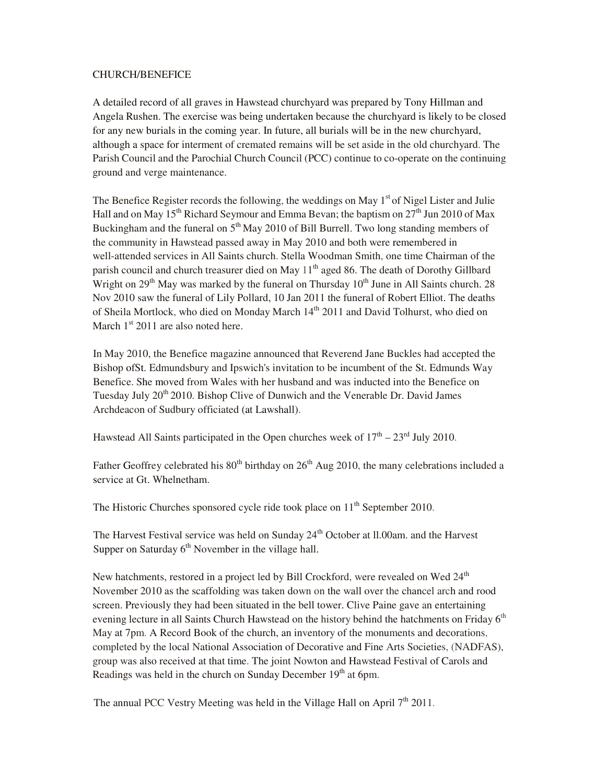#### CHURCH/BENEFICE

A detailed record of all graves in Hawstead churchyard was prepared by Tony Hillman and Angela Rushen. The exercise was being undertaken because the churchyard is likely to be closed for any new burials in the coming year. In future, all burials will be in the new churchyard, although a space for interment of cremated remains will be set aside in the old churchyard. The Parish Council and the Parochial Church Council (PCC) continue to co-operate on the continuing ground and verge maintenance.

The Benefice Register records the following, the weddings on May  $1<sup>st</sup>$  of Nigel Lister and Julie Hall and on May 15<sup>th</sup> Richard Seymour and Emma Bevan; the baptism on  $27<sup>th</sup>$  Jun 2010 of Max Buckingham and the funeral on  $5<sup>th</sup>$  May 2010 of Bill Burrell. Two long standing members of the community in Hawstead passed away in May 2010 and both were remembered in well-attended services in All Saints church. Stella Woodman Smith, one time Chairman of the parish council and church treasurer died on May 11<sup>th</sup> aged 86. The death of Dorothy Gillbard Wright on  $29<sup>th</sup>$  May was marked by the funeral on Thursday  $10<sup>th</sup>$  June in All Saints church. 28 Nov 2010 saw the funeral of Lily Pollard, 10 Jan 2011 the funeral of Robert Elliot. The deaths of Sheila Mortlock, who died on Monday March  $14<sup>th</sup>$  2011 and David Tolhurst, who died on March  $1<sup>st</sup>$  2011 are also noted here.

In May 2010, the Benefice magazine announced that Reverend Jane Buckles had accepted the Bishop ofSt. Edmundsbury and Ipswich's invitation to be incumbent of the St. Edmunds Way Benefice. She moved from Wales with her husband and was inducted into the Benefice on Tuesday July 20<sup>th</sup> 2010. Bishop Clive of Dunwich and the Venerable Dr. David James Archdeacon of Sudbury officiated (at Lawshall).

Hawstead All Saints participated in the Open churches week of  $17<sup>th</sup> - 23<sup>rd</sup>$  July 2010.

Father Geoffrey celebrated his  $80<sup>th</sup>$  birthday on  $26<sup>th</sup>$  Aug 2010, the many celebrations included a service at Gt. Whelnetham.

The Historic Churches sponsored cycle ride took place on 11<sup>th</sup> September 2010.

The Harvest Festival service was held on Sunday 24<sup>th</sup> October at Il.00am, and the Harvest Supper on Saturday  $6<sup>th</sup>$  November in the village hall.

New hatchments, restored in a project led by Bill Crockford, were revealed on Wed 24<sup>th</sup> November 2010 as the scaffolding was taken down on the wall over the chancel arch and rood screen. Previously they had been situated in the bell tower. Clive Paine gave an entertaining evening lecture in all Saints Church Hawstead on the history behind the hatchments on Friday  $6^{th}$ May at 7pm. A Record Book of the church, an inventory of the monuments and decorations, completed by the local National Association of Decorative and Fine Arts Societies, (NADFAS), group was also received at that time. The joint Nowton and Hawstead Festival of Carols and Readings was held in the church on Sunday December  $19<sup>th</sup>$  at 6pm.

The annual PCC Vestry Meeting was held in the Village Hall on April  $7<sup>th</sup>$  2011.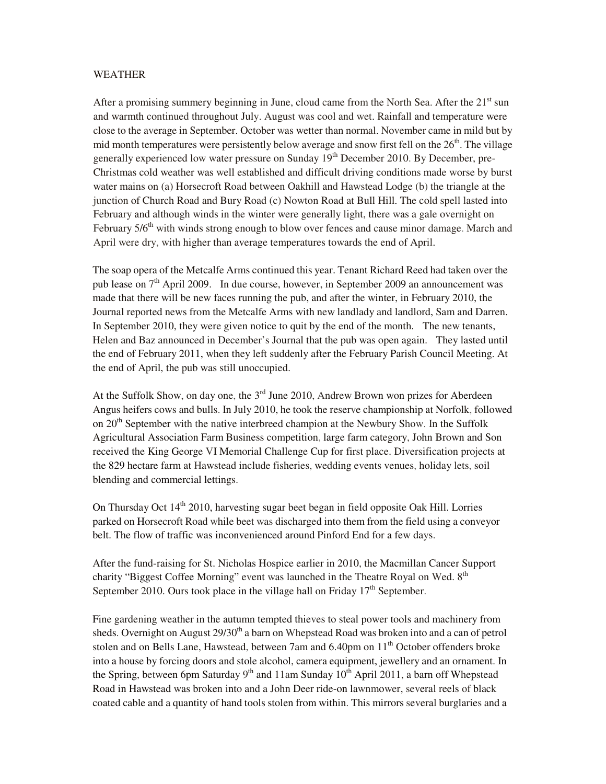#### WEATHER

After a promising summery beginning in June, cloud came from the North Sea. After the  $21<sup>st</sup>$  sun and warmth continued throughout July. August was cool and wet. Rainfall and temperature were close to the average in September. October was wetter than normal. November came in mild but by mid month temperatures were persistently below average and snow first fell on the  $26<sup>th</sup>$ . The village generally experienced low water pressure on Sunday 19<sup>th</sup> December 2010. By December, pre-Christmas cold weather was well established and difficult driving conditions made worse by burst water mains on (a) Horsecroft Road between Oakhill and Hawstead Lodge (b) the triangle at the junction of Church Road and Bury Road (c) Nowton Road at Bull Hill. The cold spell lasted into February and although winds in the winter were generally light, there was a gale overnight on February  $5/6<sup>th</sup>$  with winds strong enough to blow over fences and cause minor damage. March and April were dry, with higher than average temperatures towards the end of April.

The soap opera of the Metcalfe Arms continued this year. Tenant Richard Reed had taken over the pub lease on 7<sup>th</sup> April 2009. In due course, however, in September 2009 an announcement was made that there will be new faces running the pub, and after the winter, in February 2010, the Journal reported news from the Metcalfe Arms with new landlady and landlord, Sam and Darren. In September 2010, they were given notice to quit by the end of the month. The new tenants, Helen and Baz announced in December's Journal that the pub was open again. They lasted until the end of February 2011, when they left suddenly after the February Parish Council Meeting. At the end of April, the pub was still unoccupied.

At the Suffolk Show, on day one, the  $3<sup>rd</sup>$  June 2010, Andrew Brown won prizes for Aberdeen Angus heifers cows and bulls. In July 2010, he took the reserve championship at Norfolk, followed on 20<sup>th</sup> September with the native interbreed champion at the Newbury Show. In the Suffolk Agricultural Association Farm Business competition, large farm category, John Brown and Son received the King George VI Memorial Challenge Cup for first place. Diversification projects at the 829 hectare farm at Hawstead include fisheries, wedding events venues, holiday lets, soil blending and commercial lettings.

On Thursday Oct  $14<sup>th</sup>$  2010, harvesting sugar beet began in field opposite Oak Hill. Lorries parked on Horsecroft Road while beet was discharged into them from the field using a conveyor belt. The flow of traffic was inconvenienced around Pinford End for a few days.

After the fund-raising for St. Nicholas Hospice earlier in 2010, the Macmillan Cancer Support charity "Biggest Coffee Morning" event was launched in the Theatre Royal on Wed.  $8<sup>th</sup>$ September 2010. Ours took place in the village hall on Friday  $17<sup>th</sup>$  September.

Fine gardening weather in the autumn tempted thieves to steal power tools and machinery from sheds. Overnight on August  $29/30<sup>th</sup>$  a barn on Whepstead Road was broken into and a can of petrol stolen and on Bells Lane, Hawstead, between 7am and 6.40pm on 11<sup>th</sup> October offenders broke into a house by forcing doors and stole alcohol, camera equipment, jewellery and an ornament. In the Spring, between 6pm Saturday 9<sup>th</sup> and 11am Sunday  $10^{th}$  April 2011, a barn off Whepstead Road in Hawstead was broken into and a John Deer ride-on lawnmower, several reels of black coated cable and a quantity of hand tools stolen from within. This mirrors several burglaries and a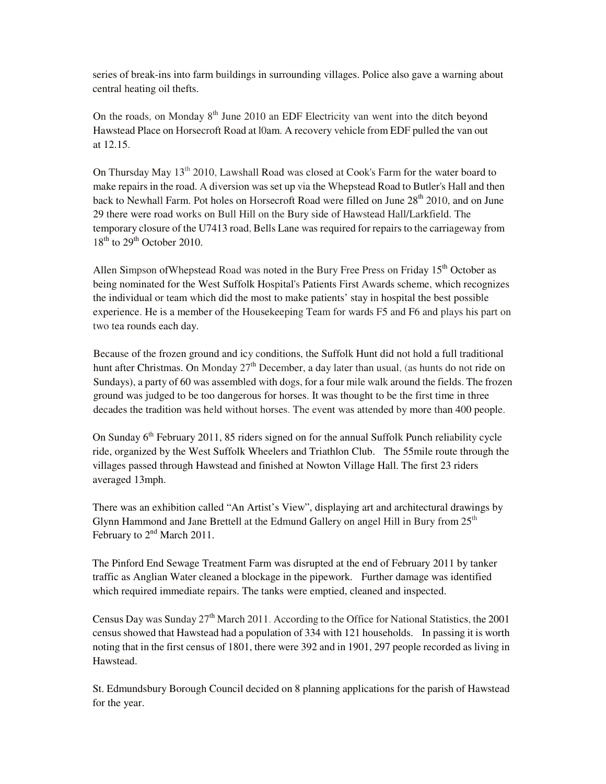series of break-ins into farm buildings in surrounding villages. Police also gave a warning about central heating oil thefts.

On the roads, on Monday  $8<sup>th</sup>$  June 2010 an EDF Electricity van went into the ditch beyond Hawstead Place on Horsecroft Road at l0am. A recovery vehicle from EDF pulled the van out at 12.15.

On Thursday May 13<sup>th</sup> 2010, Lawshall Road was closed at Cook's Farm for the water board to make repairs in the road. A diversion was set up via the Whepstead Road to Butler's Hall and then back to Newhall Farm. Pot holes on Horsecroft Road were filled on June 28<sup>th</sup> 2010, and on June 29 there were road works on Bull Hill on the Bury side of Hawstead Hall/Larkfield. The temporary closure of the U7413 road, Bells Lane was required for repairs to the carriageway from  $18<sup>th</sup>$  to  $29<sup>th</sup>$  October 2010.

Allen Simpson of Whepstead Road was noted in the Bury Free Press on Friday  $15<sup>th</sup>$  October as being nominated for the West Suffolk Hospital's Patients First Awards scheme, which recognizes the individual or team which did the most to make patients' stay in hospital the best possible experience. He is a member of the Housekeeping Team for wards F5 and F6 and plays his part on two tea rounds each day.

Because of the frozen ground and icy conditions, the Suffolk Hunt did not hold a full traditional hunt after Christmas. On Monday  $27<sup>th</sup>$  December, a day later than usual, (as hunts do not ride on Sundays), a party of 60 was assembled with dogs, for a four mile walk around the fields. The frozen ground was judged to be too dangerous for horses. It was thought to be the first time in three decades the tradition was held without horses. The event was attended by more than 400 people.

On Sunday 6<sup>th</sup> February 2011, 85 riders signed on for the annual Suffolk Punch reliability cycle ride, organized by the West Suffolk Wheelers and Triathlon Club. The 55mile route through the villages passed through Hawstead and finished at Nowton Village Hall. The first 23 riders averaged 13mph.

There was an exhibition called "An Artist's View", displaying art and architectural drawings by Glynn Hammond and Jane Brettell at the Edmund Gallery on angel Hill in Bury from  $25<sup>th</sup>$ February to  $2<sup>nd</sup>$  March 2011.

The Pinford End Sewage Treatment Farm was disrupted at the end of February 2011 by tanker traffic as Anglian Water cleaned a blockage in the pipework. Further damage was identified which required immediate repairs. The tanks were emptied, cleaned and inspected.

Census Day was Sunday 27<sup>th</sup> March 2011. According to the Office for National Statistics, the 2001 census showed that Hawstead had a population of 334 with 121 households. In passing it is worth noting that in the first census of 1801, there were 392 and in 1901, 297 people recorded as living in Hawstead.

St. Edmundsbury Borough Council decided on 8 planning applications for the parish of Hawstead for the year.